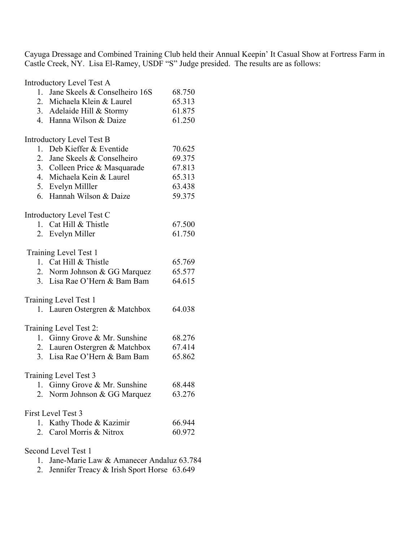Cayuga Dressage and Combined Training Club held their Annual Keepin' It Casual Show at Fortress Farm in Castle Creek, NY. Lisa El-Ramey, USDF "S" Judge presided. The results are as follows:

Introductory Level Test A 1. Jane Skeels & Conselheiro 16S 68.750 2. Michaela Klein & Laurel 65.313 3. Adelaide Hill & Stormy 61.875 4. Hanna Wilson & Daize 61.250 Introductory Level Test B 1. Deb Kieffer & Eventide 70.625 2. Jane Skeels & Conselheiro 69.375 3. Colleen Price & Masquarade 67.813 4. Michaela Kein & Laurel 65.313 5. Evelyn Milller 63.438 6. Hannah Wilson & Daize 59.375 Introductory Level Test C 1. Cat Hill & Thistle 67.500 2. Evelyn Miller 61.750 Training Level Test 1 1. Cat Hill  $\&$  Thistle 65.769 2. Norm Johnson & GG Marquez 65.577 3. Lisa Rae O'Hern & Bam Bam 64.615 Training Level Test 1 1. Lauren Ostergren & Matchbox 64.038 Training Level Test 2: 1. Ginny Grove & Mr. Sunshine 68.276 2. Lauren Ostergren & Matchbox 67.414 3. Lisa Rae O'Hern & Bam Bam 65.862 Training Level Test 3 1. Ginny Grove & Mr. Sunshine 68.448 2. Norm Johnson & GG Marquez 63.276 First Level Test 3 1. Kathy Thode & Kazimir 66.944 2. Carol Morris & Nitrox 60.972 Second Level Test 1

- 1. Jane-Marie Law & Amanecer Andaluz 63.784
- 2. Jennifer Treacy & Irish Sport Horse 63.649